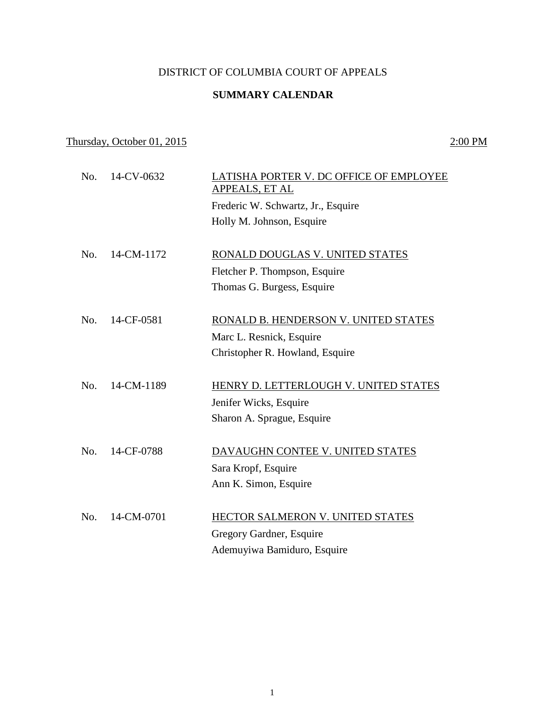## DISTRICT OF COLUMBIA COURT OF APPEALS

## **SUMMARY CALENDAR**

## Thursday, October 01, 2015 2:00 PM

| No. | 14-CV-0632 | LATISHA PORTER V. DC OFFICE OF EMPLOYEE<br>APPEALS, ET AL<br>Frederic W. Schwartz, Jr., Esquire<br>Holly M. Johnson, Esquire |
|-----|------------|------------------------------------------------------------------------------------------------------------------------------|
| No. | 14-CM-1172 | RONALD DOUGLAS V. UNITED STATES<br>Fletcher P. Thompson, Esquire<br>Thomas G. Burgess, Esquire                               |
| No. | 14-CF-0581 | RONALD B. HENDERSON V. UNITED STATES<br>Marc L. Resnick, Esquire<br>Christopher R. Howland, Esquire                          |
| No. | 14-CM-1189 | HENRY D. LETTERLOUGH V. UNITED STATES<br>Jenifer Wicks, Esquire<br>Sharon A. Sprague, Esquire                                |
| No. | 14-CF-0788 | DAVAUGHN CONTEE V. UNITED STATES<br>Sara Kropf, Esquire<br>Ann K. Simon, Esquire                                             |
| No. | 14-CM-0701 | HECTOR SALMERON V. UNITED STATES<br>Gregory Gardner, Esquire<br>Ademuyiwa Bamiduro, Esquire                                  |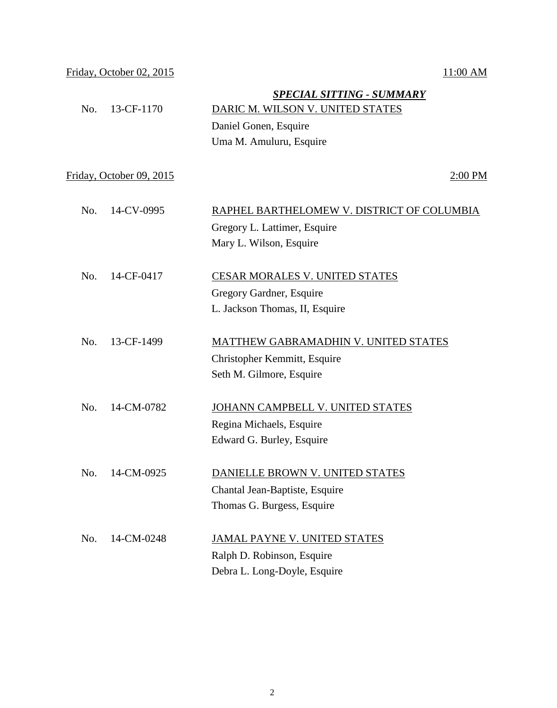| No. | 13-CF-1170               | <b>SPECIAL SITTING - SUMMARY</b><br>DARIC M. WILSON V. UNITED STATES |
|-----|--------------------------|----------------------------------------------------------------------|
|     |                          | Daniel Gonen, Esquire                                                |
|     |                          | Uma M. Amuluru, Esquire                                              |
|     |                          |                                                                      |
|     | Friday, October 09, 2015 | $2:00$ PM                                                            |
| No. | 14-CV-0995               | RAPHEL BARTHELOMEW V. DISTRICT OF COLUMBIA                           |
|     |                          | Gregory L. Lattimer, Esquire                                         |
|     |                          | Mary L. Wilson, Esquire                                              |
| No. | 14-CF-0417               | <b>CESAR MORALES V. UNITED STATES</b>                                |
|     |                          | Gregory Gardner, Esquire                                             |
|     |                          | L. Jackson Thomas, II, Esquire                                       |
| No. | 13-CF-1499               | MATTHEW GABRAMADHIN V. UNITED STATES                                 |
|     |                          | Christopher Kemmitt, Esquire                                         |
|     |                          | Seth M. Gilmore, Esquire                                             |
| No. | 14-CM-0782               | JOHANN CAMPBELL V. UNITED STATES                                     |
|     |                          | Regina Michaels, Esquire                                             |
|     |                          | Edward G. Burley, Esquire                                            |
|     | 14-CM-0925               |                                                                      |
| No. |                          | DANIELLE BROWN V. UNITED STATES                                      |
|     |                          | Chantal Jean-Baptiste, Esquire                                       |
|     |                          | Thomas G. Burgess, Esquire                                           |
| No. | 14-CM-0248               | JAMAL PAYNE V. UNITED STATES                                         |
|     |                          | Ralph D. Robinson, Esquire                                           |
|     |                          | Debra L. Long-Doyle, Esquire                                         |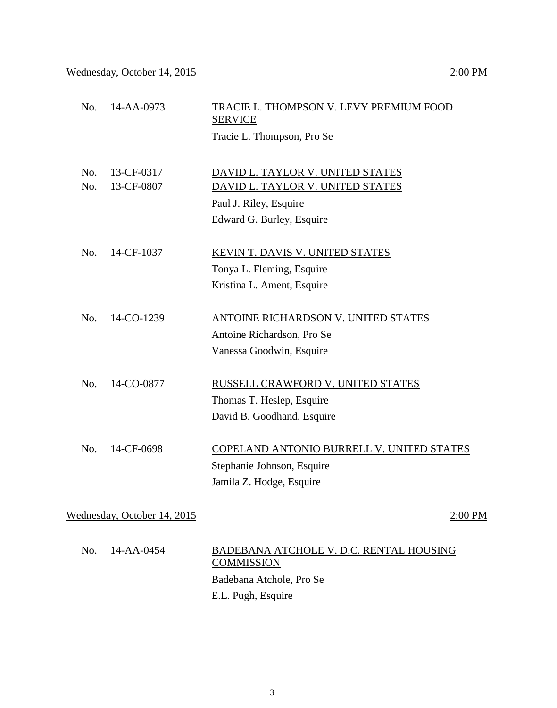| No. | 14-AA-0973                  | TRACIE L. THOMPSON V. LEVY PREMIUM FOOD<br><b>SERVICE</b> |
|-----|-----------------------------|-----------------------------------------------------------|
|     |                             | Tracie L. Thompson, Pro Se                                |
|     |                             |                                                           |
| No. | 13-CF-0317                  | DAVID L. TAYLOR V. UNITED STATES                          |
| No. | 13-CF-0807                  | DAVID L. TAYLOR V. UNITED STATES                          |
|     |                             | Paul J. Riley, Esquire                                    |
|     |                             | Edward G. Burley, Esquire                                 |
| No. | 14-CF-1037                  | KEVIN T. DAVIS V. UNITED STATES                           |
|     |                             |                                                           |
|     |                             | Tonya L. Fleming, Esquire<br>Kristina L. Ament, Esquire   |
|     |                             |                                                           |
| No. | 14-CO-1239                  | ANTOINE RICHARDSON V. UNITED STATES                       |
|     |                             | Antoine Richardson, Pro Se                                |
|     |                             | Vanessa Goodwin, Esquire                                  |
| No. | 14-CO-0877                  | RUSSELL CRAWFORD V. UNITED STATES                         |
|     |                             | Thomas T. Heslep, Esquire                                 |
|     |                             | David B. Goodhand, Esquire                                |
|     |                             |                                                           |
| No. | 14-CF-0698                  | COPELAND ANTONIO BURRELL V. UNITED STATES                 |
|     |                             | Stephanie Johnson, Esquire                                |
|     |                             | Jamila Z. Hodge, Esquire                                  |
|     |                             |                                                           |
|     | Wednesday, October 14, 2015 | 2:00 PM                                                   |
| No. | 14-AA-0454                  | BADEBANA ATCHOLE V. D.C. RENTAL HOUSING                   |
|     |                             | <b>COMMISSION</b>                                         |
|     |                             | Badebana Atchole, Pro Se                                  |
|     |                             |                                                           |

E.L. Pugh, Esquire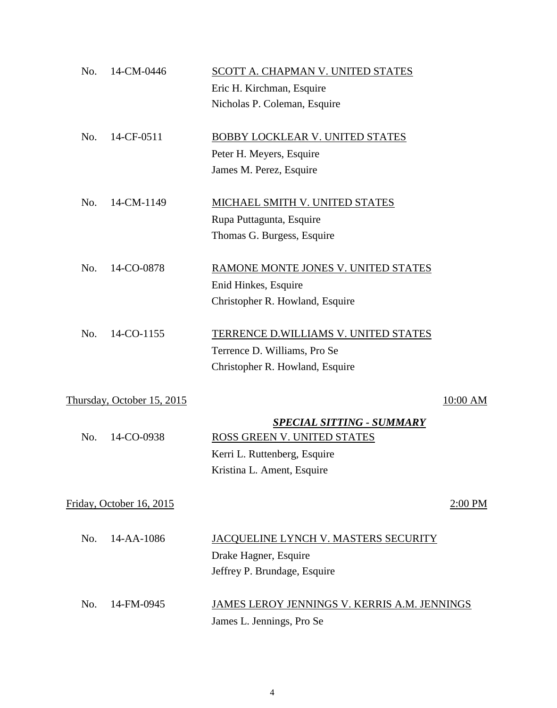| 14-CM-0446<br>No.          |                              | SCOTT A. CHAPMAN V. UNITED STATES            |
|----------------------------|------------------------------|----------------------------------------------|
|                            | Eric H. Kirchman, Esquire    |                                              |
|                            | Nicholas P. Coleman, Esquire |                                              |
| No.<br>14-CF-0511          |                              | BOBBY LOCKLEAR V. UNITED STATES              |
|                            | Peter H. Meyers, Esquire     |                                              |
|                            | James M. Perez, Esquire      |                                              |
| 14-CM-1149<br>No.          |                              | MICHAEL SMITH V. UNITED STATES               |
|                            | Rupa Puttagunta, Esquire     |                                              |
|                            | Thomas G. Burgess, Esquire   |                                              |
| 14-CO-0878<br>No.          |                              | RAMONE MONTE JONES V. UNITED STATES          |
|                            | Enid Hinkes, Esquire         |                                              |
|                            |                              | Christopher R. Howland, Esquire              |
| No.<br>14-CO-1155          |                              | TERRENCE D.WILLIAMS V. UNITED STATES         |
|                            | Terrence D. Williams, Pro Se |                                              |
|                            |                              | Christopher R. Howland, Esquire              |
| Thursday, October 15, 2015 |                              | 10:00 AM                                     |
|                            |                              | <b>SPECIAL SITTING - SUMMARY</b>             |
| 14-CO-0938<br>No.          |                              | ROSS GREEN V. UNITED STATES                  |
|                            | Kerri L. Ruttenberg, Esquire |                                              |
|                            | Kristina L. Ament, Esquire   |                                              |
| Friday, October 16, 2015   |                              | 2:00 PM                                      |
| No.<br>14-AA-1086          |                              | JACQUELINE LYNCH V. MASTERS SECURITY         |
|                            | Drake Hagner, Esquire        |                                              |
|                            | Jeffrey P. Brundage, Esquire |                                              |
| No.<br>14-FM-0945          |                              | JAMES LEROY JENNINGS V. KERRIS A.M. JENNINGS |
|                            | James L. Jennings, Pro Se    |                                              |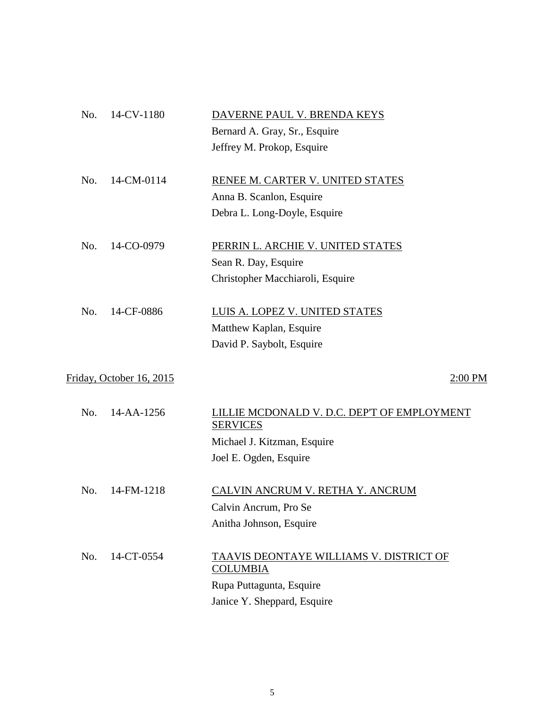| No. | 14-CV-1180               | DAVERNE PAUL V. BRENDA KEYS                                    |
|-----|--------------------------|----------------------------------------------------------------|
|     |                          | Bernard A. Gray, Sr., Esquire                                  |
|     |                          | Jeffrey M. Prokop, Esquire                                     |
| No. | 14-CM-0114               | RENEE M. CARTER V. UNITED STATES                               |
|     |                          | Anna B. Scanlon, Esquire                                       |
|     |                          | Debra L. Long-Doyle, Esquire                                   |
| No. | 14-CO-0979               | PERRIN L. ARCHIE V. UNITED STATES                              |
|     |                          | Sean R. Day, Esquire                                           |
|     |                          | Christopher Macchiaroli, Esquire                               |
| No. | 14-CF-0886               | LUIS A. LOPEZ V. UNITED STATES                                 |
|     |                          | Matthew Kaplan, Esquire                                        |
|     |                          | David P. Saybolt, Esquire                                      |
|     | Friday, October 16, 2015 | 2:00 PM                                                        |
| No. | 14-AA-1256               | LILLIE MCDONALD V. D.C. DEP'T OF EMPLOYMENT<br><b>SERVICES</b> |
|     |                          | Michael J. Kitzman, Esquire                                    |
|     |                          | Joel E. Ogden, Esquire                                         |
| No. | 14-FM-1218               | <b>CALVIN ANCRUM V. RETHA Y. ANCRUM</b>                        |
|     |                          | Calvin Ancrum, Pro Se                                          |
|     |                          | Anitha Johnson, Esquire                                        |
| No. | 14-CT-0554               | TAAVIS DEONTAYE WILLIAMS V. DISTRICT OF<br><b>COLUMBIA</b>     |
|     |                          | Rupa Puttagunta, Esquire                                       |
|     |                          | Janice Y. Sheppard, Esquire                                    |